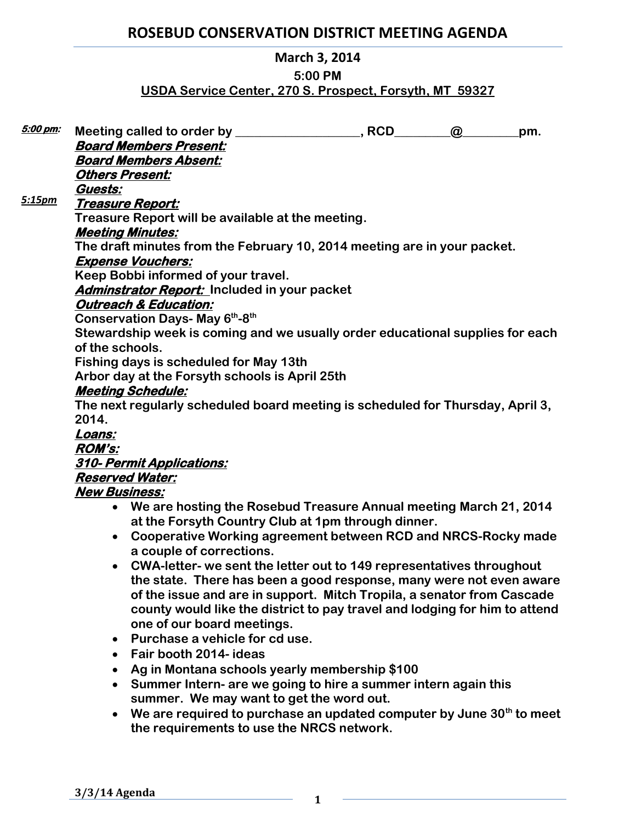# **ROSEBUD CONSERVATION DISTRICT MEETING AGENDA**

## **March 3, 2014**

## **5:00 PM**

## **USDA Service Center, 270 S. Prospect, Forsyth, MT 59327**

| 5:00 pm: |                                                                                |  | $\omega$ | pm. |
|----------|--------------------------------------------------------------------------------|--|----------|-----|
|          | <b>Board Members Present:</b>                                                  |  |          |     |
|          | <b>Board Members Absent:</b>                                                   |  |          |     |
|          | <b>Others Present:</b>                                                         |  |          |     |
|          | Guests:                                                                        |  |          |     |
| 5:15pm   | Treasure Report:                                                               |  |          |     |
|          | Treasure Report will be available at the meeting.                              |  |          |     |
|          | <b>Meeting Minutes:</b>                                                        |  |          |     |
|          | The draft minutes from the February 10, 2014 meeting are in your packet.       |  |          |     |
|          | <b>Expense Vouchers:</b>                                                       |  |          |     |
|          | Keep Bobbi informed of your travel.                                            |  |          |     |
|          | <b>Adminstrator Report:</b> Included in your packet                            |  |          |     |
|          | <b>Outreach &amp; Education:</b>                                               |  |          |     |
|          | Conservation Days- May 6th-8th                                                 |  |          |     |
|          | Stewardship week is coming and we usually order educational supplies for each  |  |          |     |
|          | of the schools.                                                                |  |          |     |
|          | Fishing days is scheduled for May 13th                                         |  |          |     |
|          | Arbor day at the Forsyth schools is April 25th                                 |  |          |     |
|          | <b>Meeting Schedule:</b>                                                       |  |          |     |
|          | The next regularly scheduled board meeting is scheduled for Thursday, April 3, |  |          |     |
|          | 2014.                                                                          |  |          |     |
|          | Loans:                                                                         |  |          |     |
|          | <b>ROM's:</b>                                                                  |  |          |     |
|          | <u>310- Permit Applications:</u>                                               |  |          |     |
|          | <b>Reserved Water:</b>                                                         |  |          |     |
|          | <b>New Business:</b>                                                           |  |          |     |
|          | • We are hosting the Rosebud Treasure Annual meeting March 21, 2014            |  |          |     |
|          | at the Forsyth Country Club at 1pm through dinner.                             |  |          |     |
|          | Cooperative Werking careement between DCD and NDCS Dealy mode                  |  |          |     |

- **Cooperative Working agreement between RCD and NRCS-Rocky made a couple of corrections.**
- **CWA-letter- we sent the letter out to 149 representatives throughout the state. There has been a good response, many were not even aware of the issue and are in support. Mitch Tropila, a senator from Cascade county would like the district to pay travel and lodging for him to attend one of our board meetings.**
- **Purchase a vehicle for cd use.**
- **Fair booth 2014- ideas**
- **Ag in Montana schools yearly membership \$100**
- **Summer Intern- are we going to hire a summer intern again this summer. We may want to get the word out.**
- **We are required to purchase an updated computer by June 30th to meet the requirements to use the NRCS network.**